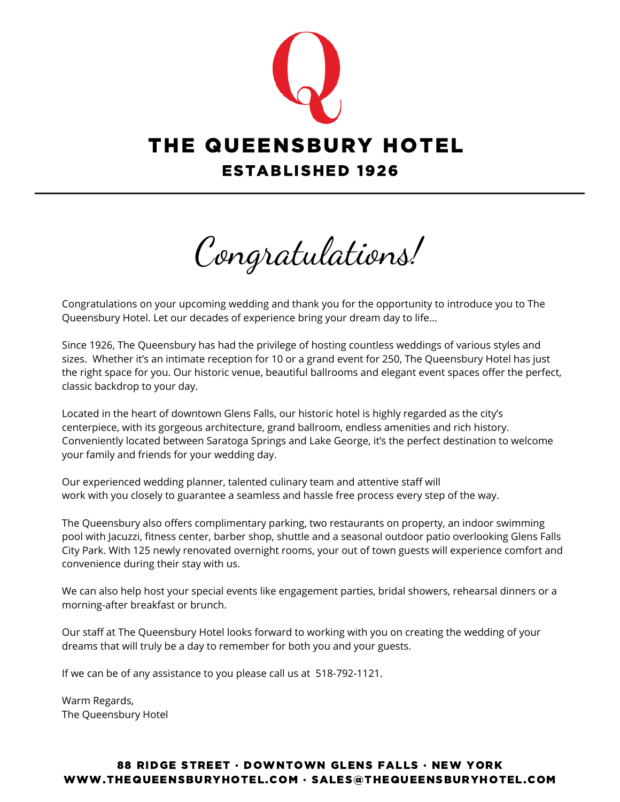

Congratulations!

Congratulations on your upcoming wedding and thank you for the opportunity to introduce you to The Queensbury Hotel. Let our decades of experience bring your dream day to life...

Since 1926, The Queensbury has had the privilege of hosting countless weddings of various styles and sizes. Whether it's an intimate reception for 10 or a grand event for 250, The Queensbury Hotel has just the right space for you. Our historic venue, beautiful ballrooms and elegant event spaces offer the perfect, classic backdrop to your day.

Located in the heart of downtown Glens Falls, our historic hotel is highly regarded as the city's centerpiece, with its gorgeous architecture, grand ballroom, endless amenities and rich history. Conveniently located between Saratoga Springs and Lake George, it's the perfect destination to welcome your family and friends for your wedding day.

Our experienced wedding planner, talented culinary team and attentive staff will work with you closely to guarantee a seamless and hassle free process every step of the way.

The Queensbury also offers complimentary parking, two restaurants on property, an indoor swimming pool with Jacuzzi, fitness center, barber shop, shuttle and a seasonal outdoor patio overlooking Glens Falls City Park. With 125 newly renovated overnight rooms, your out of town guests will experience comfort and convenience during their stay with us.

We can also help host your special events like engagement parties, bridal showers, rehearsal dinners or a morning-after breakfast or brunch.

Our staff at The Queensbury Hotel looks forward to working with you on creating the wedding of your dreams that will truly be a day to remember for both you and your guests.

If we can be of any assistance to you please call us at 518-792-1121.

Warm Regards, The Queensbury Hotel

### 88 RIDGE STREET · DOWNTOWN GLENS FALLS · NEW YORK WWW.THEQUEENSBURYHOTEL.COM · SALES@THEQUEENSBURYHOTEL.COM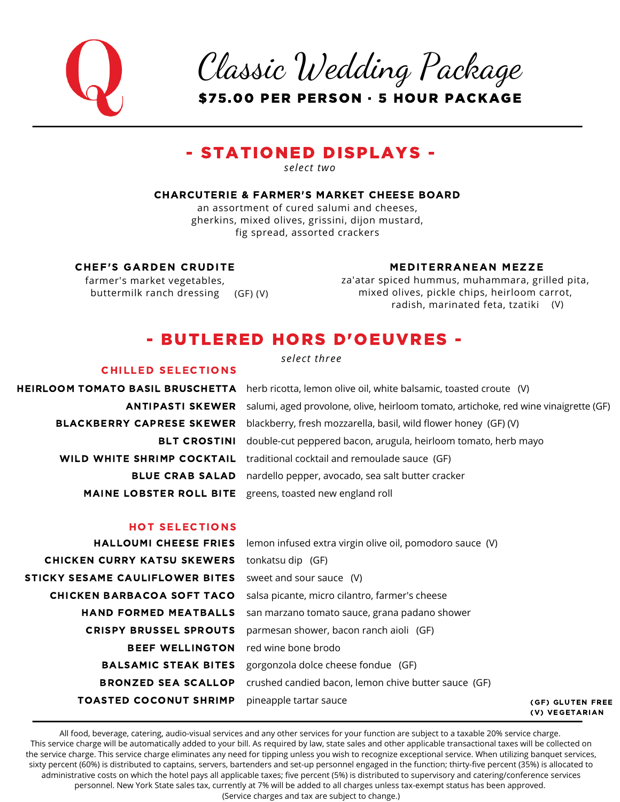

Classic Wedding Package

\$75.00 PER PERSON · 5 HOUR PACKAGE

### - STATIONED DISPLAYS -

*select two*

#### CHARCUTERIE & FARMER'S MARKET CHEESE BOARD

an assortment of cured salumi and cheeses, gherkins, mixed olives, grissini, dijon mustard, fig spread, assorted crackers

#### CHEF'S GARDEN CRUDITE

farmer's market vegetables, buttermilk ranch dressing (GF) (V)

CHILLED SELECTIONS

#### MEDITERRANEAN MEZZE

za'atar spiced hummus, muhammara, grilled pita, mixed olives, pickle chips, heirloom carrot, radish, marinated feta, tzatiki (V)

### - BUTLERED HORS D'OEUVRES -

*select three*

**HEIRLOOM TOMATO BASIL BRUSCHETTA** herb ricotta, lemon olive oil, white balsamic, toasted croute (V) <code>ANTIPASTI</code> SKEWER  $\,$  salumi, aged provolone, olive, heirloom tomato, artichoke, red wine vinaigrette (GF)  $\,$ **BLACKBERRY CAPRESE SKEWER** blackberry, fresh mozzarella, basil, wild flower honey (GF) (V) **BLT CROSTINI** double-cut peppered bacon, arugula, heirloom tomato, herb mayo **WILD WHITE SHRIMP COCKTAIL** traditional cocktail and remoulade sauce (GF) **BLUE CRAB SALAD** nardello pepper, avocado, sea salt butter cracker MAINE LOBSTER ROLL BITE greens, toasted new england roll

#### HOT SELECTIONS

| <b>TOASTED COCONUT SHRIMP</b>              | pineapple tartar sauce                                                          | (GF) GLUTEN FREE<br>(V) VEGETARIAN |
|--------------------------------------------|---------------------------------------------------------------------------------|------------------------------------|
|                                            | <b>BRONZED SEA SCALLOP</b> crushed candied bacon, lemon chive butter sauce (GF) |                                    |
|                                            | <b>BALSAMIC STEAK BITES</b> gorgonzola dolce cheese fondue (GF)                 |                                    |
| <b>BEEF WELLINGTON</b> red wine bone brodo |                                                                                 |                                    |
| <b>CRISPY BRUSSEL SPROUTS</b>              | parmesan shower, bacon ranch aioli (GF)                                         |                                    |
| <b>HAND FORMED MEATBALLS</b>               | san marzano tomato sauce, grana padano shower                                   |                                    |
| CHICKEN BARBACOA SOFT TACO                 | salsa picante, micro cilantro, farmer's cheese                                  |                                    |
| STICKY SESAME CAULIFLOWER BITES            | sweet and sour sauce (V)                                                        |                                    |
| <b>CHICKEN CURRY KATSU SKEWERS</b>         | tonkatsu dip (GF)                                                               |                                    |
|                                            | HALLOUMI CHEESE FRIES lemon infused extra virgin olive oil, pomodoro sauce (V)  |                                    |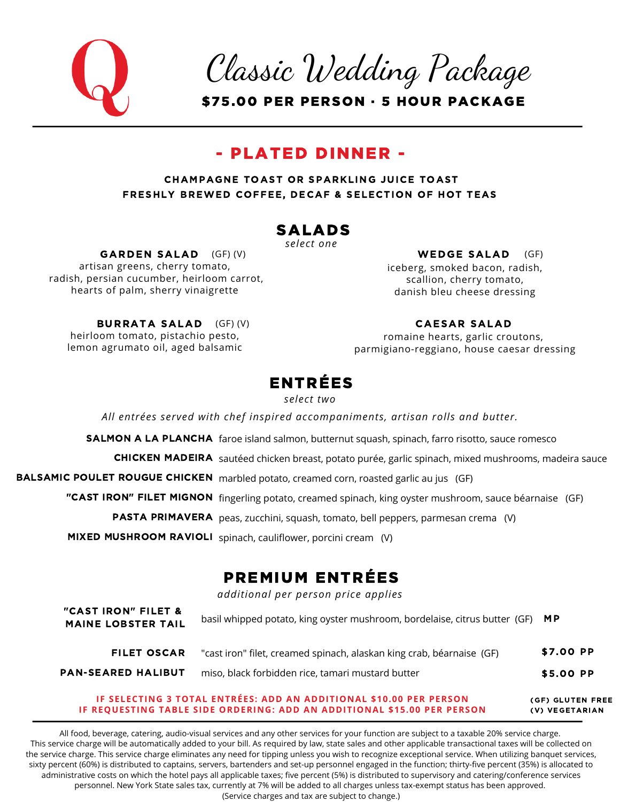

Classic Wedding Package

\$75.00 PER PERSON · 5 HOUR PACKAGE

### - PLATED DINNER -

CHAMPAGNE TOAST OR SPARKLING JUICE TOAST FRESHLY BREWED COFFEE, DECAF & SELECTION OF HOT TEAS

### SALADS

*select one*

artisan greens, cherry tomato, radish, persian cucumber, heirloom carrot, GARDEN SALAD (GF)(V)

hearts of palm, sherry vinaigrette

iceberg, smoked bacon, radish, scallion, cherry tomato,  $(GF)$  (V)  $\qquad \qquad \qquad \mathbf{WEDGE SALAD}$  (GF)

#### heirloom tomato, pistachio pesto, lemon agrumato oil, aged balsamic BURRATA SALAD (GF) (V)

### CAESAR SALAD

danish bleu cheese dressing

romaine hearts, garlic croutons, parmigiano-reggiano, house caesar dressing

### ENTRÉES

*select two*

*All entrées served with chef inspired accompaniments, artisan rolls and butter.*

SALMON A LA PLANCHA faroe island salmon, butternut squash, spinach, farro risotto, sauce romesco

**CHICKEN MADEIRA** sautéed chicken breast, potato purée, garlic spinach, mixed mushrooms, madeira sauce

**BALSAMIC POULET ROUGUE CHICKEN** marbled potato, creamed corn, roasted garlic au jus (GF)

"CAST IRON" FILET MIGNON fingerling potato, creamed spinach, king oyster mushroom, sauce béarnaise (GF)

PASTA PRIMAVERA peas, zucchini, squash, tomato, bell peppers, parmesan crema (V)

MIXED MUSHROOM RAVIOLI spinach, cauliflower, porcini cream (V)

## PREMIUM ENTRÉES

*additional per person price applies*

| "cast iron" filet, creamed spinach, alaskan king crab, béarnaise (GF) | \$7.00 PP                                                                     |
|-----------------------------------------------------------------------|-------------------------------------------------------------------------------|
| miso, black forbidden rice, tamari mustard butter                     | \$5.00 PP                                                                     |
|                                                                       | basil whipped potato, king oyster mushroom, bordelaise, citrus butter (GF) MP |

#### (GF) GLUTEN FREE (V) VEGETARIAN **IF SELECTING 3 TOTAL ENTRÉES: ADD AN ADDITIONAL \$10.00 PER PERSON IF REQUESTING TABLE SIDE ORDERING: ADD AN ADDITIONAL \$15.00 PER PERSON**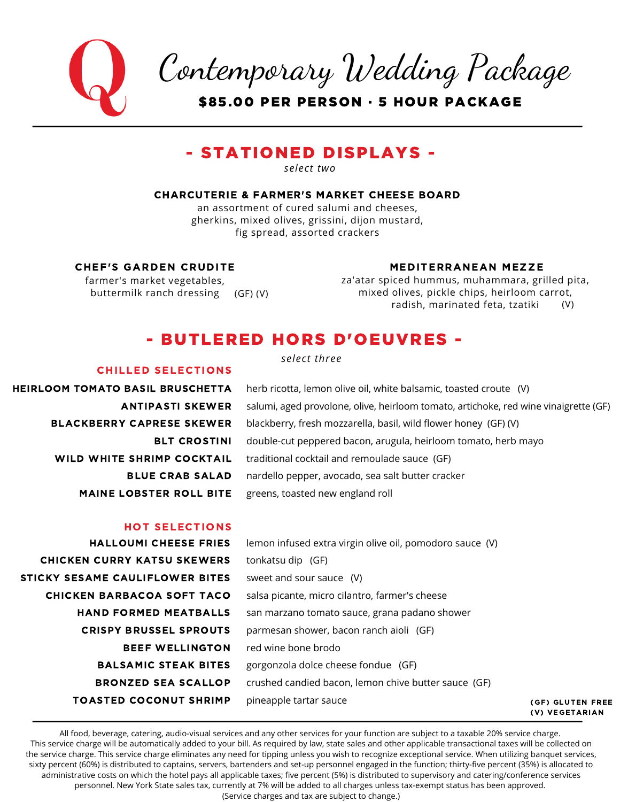Contemporary Wedding Package \$85.00 PER PERSON · 5 HOUR PACKAGE

### - STATIONED DISPLAYS -

*select two*

#### CHARCUTERIE & FARMER'S MARKET CHEESE BOARD

an assortment of cured salumi and cheeses, gherkins, mixed olives, grissini, dijon mustard, fig spread, assorted crackers

#### CHEF'S GARDEN CRUDITE

farmer's market vegetables, buttermilk ranch dressing (GF) (V)

#### MEDITERRANEAN MEZZE

za'atar spiced hummus, muhammara, grilled pita, mixed olives, pickle chips, heirloom carrot, radish, marinated feta, tzatiki (V)

### - BUTLERED HORS D'OEUVRES -

#### CHILLED SELECTIONS

HEIRLOOM TOMATO BASIL BRUSCHETTA ANTIPASTI SKEWER BLACKBERRY CAPRESE SKEWER BLT CROSTINI WILD WHITE SHRIMP COCKTAIL BLUE CRAB SALAD MAINE LOBSTER ROLL BITE *select three*

herb ricotta, lemon olive oil, white balsamic, toasted croute (V) salumi, aged provolone, olive, heirloom tomato, artichoke, red wine vinaigrette (GF) blackberry, fresh mozzarella, basil, wild flower honey (GF) (V) double-cut peppered bacon, arugula, heirloom tomato, herb mayo traditional cocktail and remoulade sauce (GF) nardello pepper, avocado, sea salt butter cracker greens, toasted new england roll

#### HOT SELECTIONS

HALLOUMI CHEESE FRIES CHICKEN CURRY KATSU SKEWERS STICKY SESAME CAULIFLOWER BITES CHICKEN BARBACOA SOFT TACO HAND FORMED MEATBALLS CRISPY BRUSSEL SPROUTS BEEF WELLINGTON BALSAMIC STEAK BITES BRONZED SEA SCALLOP TOASTED COCONUT SHRIMP

lemon infused extra virgin olive oil, pomodoro sauce (V) tonkatsu dip (GF) sweet and sour sauce (V) salsa picante, micro cilantro, farmer's cheese san marzano tomato sauce, grana padano shower parmesan shower, bacon ranch aioli (GF) red wine bone brodo gorgonzola dolce cheese fondue (GF) crushed candied bacon, lemon chive butter sauce (GF) pineapple tartar sauce

(GF) GLUTEN FREE (V) VEGETARIAN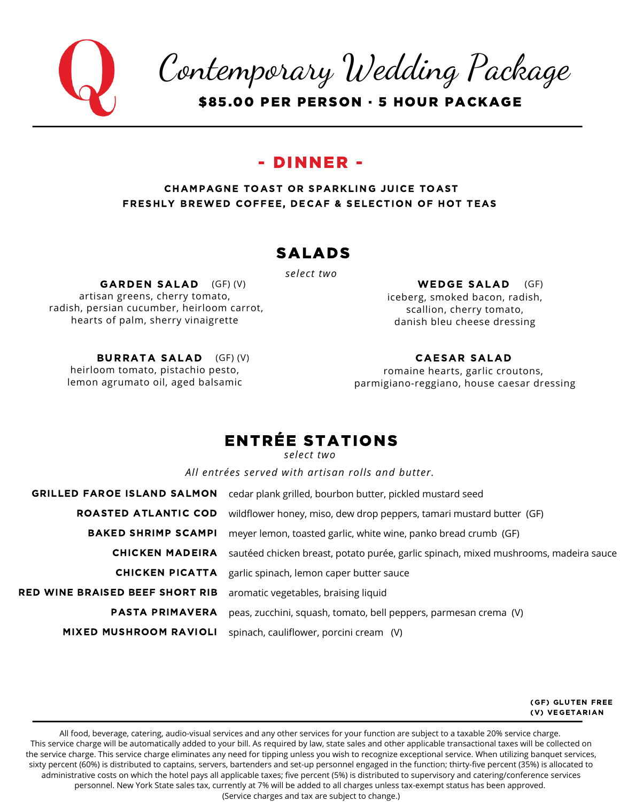

Contemporary Wedding Package

\$85.00 PER PERSON · 5 HOUR PACKAGE

### - DINNER -

### CHAMPAGNE TOAST OR SPARKLING JUICE TOAST FRESHLY BREWED COFFEE, DECAF & SELECTION OF HOT TEAS

### SALADS

*select two*

artisan greens, cherry tomato, radish, persian cucumber, heirloom carrot, hearts of palm, sherry vinaigrette GARDEN SALAD (GF)(V)

iceberg, smoked bacon, radish, scallion, cherry tomato, danish bleu cheese dressing  $WEDGE SALAD$  (GF)

heirloom tomato, pistachio pesto, lemon agrumato oil, aged balsamic BURRATA SALAD (GF) (V)

### CAESAR SALAD

romaine hearts, garlic croutons, parmigiano-reggiano, house caesar dressing

### ENTRÉE STATIONS

*select two*

*All entrées served with artisan rolls and butter.*

| <b>GRILLED FAROE ISLAND SALMON</b>     | cedar plank grilled, bourbon butter, pickled mustard seed                            |
|----------------------------------------|--------------------------------------------------------------------------------------|
| ROASTED ATLANTIC COD                   | wildflower honey, miso, dew drop peppers, tamari mustard butter (GF)                 |
| <b>BAKED SHRIMP SCAMPI</b>             | meyer lemon, toasted garlic, white wine, panko bread crumb (GF)                      |
| <b>CHICKEN MADEIRA</b>                 | sautéed chicken breast, potato purée, garlic spinach, mixed mushrooms, madeira sauce |
| CHICKEN PICATTA                        | garlic spinach, lemon caper butter sauce                                             |
| <b>RED WINE BRAISED BEEF SHORT RIB</b> | aromatic vegetables, braising liquid                                                 |
| <b>PASTA PRIMAVERA</b>                 | peas, zucchini, squash, tomato, bell peppers, parmesan crema (V)                     |
| <b>MIXED MUSHROOM RAVIOLI</b>          | spinach, cauliflower, porcini cream (V)                                              |

(GF) GLUTEN FREE (V) VEGETARIAN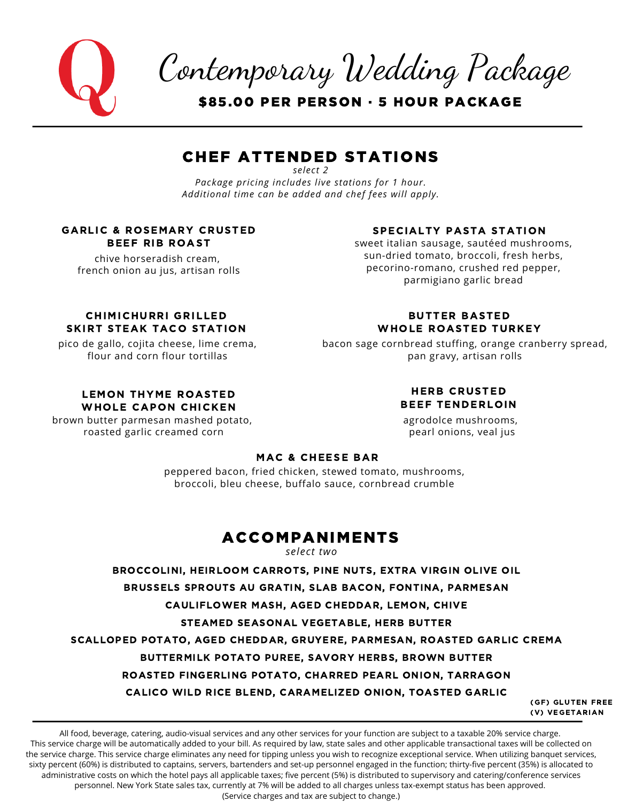Contemporary Wedding Package

\$85.00 PER PERSON · 5 HOUR PACKAGE

### CHEF ATTENDED STATIONS

*select 2 Package pricing includes live stations for 1 hour. Additional time can be added and chef fees will apply.*

### GARLIC & ROSEMARY CRUSTED BEEF RIB ROAST

chive horseradish cream, french onion au jus, artisan rolls

### SPECIALTY PASTA STATION

sweet italian sausage, sautéed mushrooms, sun-dried tomato, broccoli, fresh herbs, pecorino-romano, crushed red pepper, parmigiano garlic bread

### CHIMICHURRI GRILLED SKIRT STEAK TACO STATION

pico de gallo, cojita cheese, lime crema, flour and corn flour tortillas

### LEMON THYME ROASTED WHOLE CAPON CHICKEN

brown butter parmesan mashed potato, roasted garlic creamed corn

### BUTTER BASTED WHOLE ROASTED TURKEY

bacon sage cornbread stuffing, orange cranberry spread, pan gravy, artisan rolls

### HERB CRUSTED BEEF TENDERLOIN

agrodolce mushrooms, pearl onions, veal jus

### MAC & CHEESE BAR

peppered bacon, fried chicken, stewed tomato, mushrooms, broccoli, bleu cheese, buffalo sauce, cornbread crumble

### ACCOMPANIMENTS

*select two*

BROCCOLINI, HEIRLOOM CARROTS, PINE NUTS, EXTRA VIRGIN OLIVE OIL

BRUSSELS SPROUTS AU GRATIN, SLAB BACON, FONTINA, PARMESAN

CAULIFLOWER MASH, AGED CHEDDAR, LEMON, CHIVE

STEAMED SEASONAL VEGETABLE, HERB BUTTER

SCALLOPED POTATO, AGED CHEDDAR, GRUYERE, PARMESAN, ROASTED GARLIC CREMA

BUTTERMILK POTATO PUREE, SAVORY HERBS, BROWN BUTTER

ROASTED FINGERLING POTATO, CHARRED PEARL ONION, TARRAGON

CALICO WILD RICE BLEND, CARAMELIZED ONION, TOASTED GARLIC

(GF) GLUTEN FREE (V) VEGETARIAN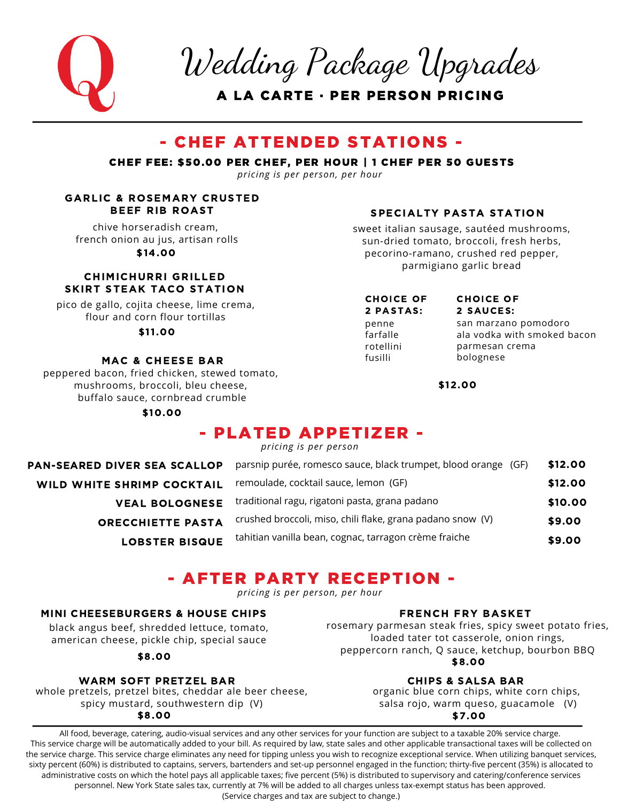

Wedding Package Upgrades

A LA CARTE · PER PERSON PRICING

### - CHEF ATTENDED STATIONS -

CHEF FEE: \$50.00 PER CHEF, PER HOUR | 1 CHEF PER 50 GUESTS

*pricing is per person, per hour*

# GARLIC & ROSEMARY CRUSTED

chive horseradish cream, french onion au jus, artisan rolls \$14.00

### CHIMICHURRI GRILLED SKIRT STEAK TACO STATION

pico de gallo, cojita cheese, lime crema, flour and corn flour tortillas

\$11.00

### MAC & CHEESE BAR

peppered bacon, fried chicken, stewed tomato, mushrooms, broccoli, bleu cheese, buffalo sauce, cornbread crumble

\$10.00

### BEEF RIB ROAST SPECIALTY PASTA STATION

sweet italian sausage, sautéed mushrooms, sun-dried tomato, broccoli, fresh herbs, pecorino-ramano, crushed red pepper, parmigiano garlic bread

#### CHOICE OF 2 PASTAS:

penne farfalle rotellini fusilli

#### CHOICE OF 2 SAUCES:

san marzano pomodoro ala vodka with smoked bacon parmesan crema bolognese

\$12.00

### - PLATED APPETIZER -

*pricing is per person*

| <b>PAN-SEARED DIVER SEA SCALLOP</b> | parsnip purée, romesco sauce, black trumpet, blood orange (GF) | \$12.00 |
|-------------------------------------|----------------------------------------------------------------|---------|
| <b>WILD WHITE SHRIMP COCKTAIL</b>   | remoulade, cocktail sauce, lemon (GF)                          | \$12.00 |
| <b>VEAL BOLOGNESE</b>               | traditional ragu, rigatoni pasta, grana padano                 | \$10.00 |
| <b>ORECCHIETTE PASTA</b>            | crushed broccoli, miso, chili flake, grana padano snow (V)     | \$9.00  |
| <b>LOBSTER BISQUE</b>               | tahitian vanilla bean, cognac, tarragon crème fraiche          | \$9.00  |

### - AFTER PARTY RECEPTION -

*pricing is per person, per hour*

### MINI CHEESEBURGERS & HOUSE CHIPS FRENCH FRY BASKET

black angus beef, shredded lettuce, tomato, american cheese, pickle chip, special sauce

\$8.00

### WARM SOFT PRETZEL BAR

whole pretzels, pretzel bites, cheddar ale beer cheese, spicy mustard, southwestern dip (V)

rosemary parmesan steak fries, spicy sweet potato fries, loaded tater tot casserole, onion rings, peppercorn ranch, Q sauce, ketchup, bourbon BBQ \$8.00

### CHIPS & SALSA BAR

organic blue corn chips, white corn chips, salsa rojo, warm queso, guacamole (V) \$8.00 \$7.00

All food, beverage, catering, audio-visual services and any other services for your function are subject to a taxable 20% service charge. This service charge will be automatically added to your bill. As required by law, state sales and other applicable transactional taxes will be collected on the service charge. This service charge eliminates any need for tipping unless you wish to recognize exceptional service. When utilizing banquet services, sixty percent (60%) is distributed to captains, servers, bartenders and set-up personnel engaged in the function; thirty-five percent (35%) is allocated to administrative costs on which the hotel pays all applicable taxes; five percent (5%) is distributed to supervisory and catering/conference services personnel. New York State sales tax, currently at 7% will be added to all charges unless tax-exempt status has been approved.

(Service charges and tax are subject to change.)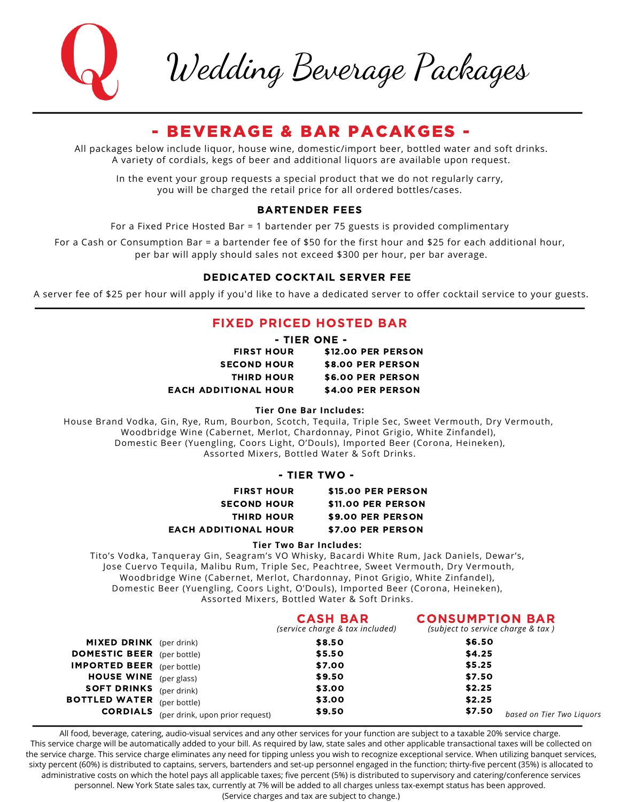

Wedding Beverage Packages

### - BEVERAGE & BAR PACAKGES -

All packages below include liquor, house wine, domestic/import beer, bottled water and soft drinks. A variety of cordials, kegs of beer and additional liquors are available upon request.

In the event your group requests a special product that we do not regularly carry, you will be charged the retail price for all ordered bottles/cases.

#### BARTENDER FEES

For a Fixed Price Hosted Bar = 1 bartender per 75 guests is provided complimentary

For a Cash or Consumption Bar = a bartender fee of \$50 for the first hour and \$25 for each additional hour, per bar will apply should sales not exceed \$300 per hour, per bar average.

### DEDICATED COCKTAIL SERVER FEE

A server fee of \$25 per hour will apply if you'd like to have a dedicated server to offer cocktail service to your guests.

### FIXED PRICED HOSTED BAR

|                             | - TIER ONE -      |                    |  |
|-----------------------------|-------------------|--------------------|--|
|                             | <b>FIRST HOUR</b> | \$12.00 PER PERSON |  |
| <b>SECOND HOUR</b>          |                   | \$8.00 PER PERSON  |  |
| <b>THIRD HOUR</b>           |                   | \$6.00 PER PERSON  |  |
| <b>EACH ADDITIONAL HOUR</b> |                   | \$4.00 PER PERSON  |  |

**Tier One Bar Includes:**

House Brand Vodka, Gin, Rye, Rum, Bourbon, Scotch, Tequila, Triple Sec, Sweet Vermouth, Dry Vermouth, Woodbridge Wine (Cabernet, Merlot, Chardonnay, Pinot Grigio, White Zinfandel), Domestic Beer (Yuengling, Coors Light, O'Douls), Imported Beer (Corona, Heineken), Assorted Mixers, Bottled Water & Soft Drinks.

#### - TIER TWO -

| <b>FIRST HOUR</b>           | \$15.00 PER PERSON |
|-----------------------------|--------------------|
| <b>SECOND HOUR</b>          | \$11.00 PER PERSON |
| <b>THIRD HOUR</b>           | \$9.00 PER PERSON  |
| <b>EACH ADDITIONAL HOUR</b> | \$7.00 PER PERSON  |

**Tier Two Bar Includes:**

Tito's Vodka, Tanqueray Gin, Seagram's VO Whisky, Bacardi White Rum, Jack Daniels, Dewar's, Jose Cuervo Tequila, Malibu Rum, Triple Sec, Peachtree, Sweet Vermouth, Dry Vermouth, Woodbridge Wine (Cabernet, Merlot, Chardonnay, Pinot Grigio, White Zinfandel), Domestic Beer (Yuengling, Coors Light, O'Douls), Imported Beer (Corona, Heineken), Assorted Mixers, Bottled Water & Soft Drinks.

|                                   |                                                 | <b>CASH BAR</b><br>(service charge & tax included) | <b>CONSUMPTION BAR</b><br>(subject to service charge & tax) |  |
|-----------------------------------|-------------------------------------------------|----------------------------------------------------|-------------------------------------------------------------|--|
| MIXED DRINK (per drink)           |                                                 | \$8.50                                             | \$6.50                                                      |  |
| <b>DOMESTIC BEER</b> (per bottle) |                                                 | \$5.50                                             | \$4.25                                                      |  |
| <b>IMPORTED BEER</b> (per bottle) |                                                 | \$7.00                                             | \$5.25                                                      |  |
| <b>HOUSE WINE</b> (per glass)     |                                                 | \$9.50                                             | \$7.50                                                      |  |
| <b>SOFT DRINKS</b> (per drink)    |                                                 | \$3.00                                             | \$2.25                                                      |  |
| <b>BOTTLED WATER</b> (per bottle) |                                                 | \$3.00                                             | \$2.25                                                      |  |
|                                   | <b>CORDIALS</b> (per drink, upon prior request) | \$9.50                                             | \$7.50<br>based on Tier Two Liguors                         |  |